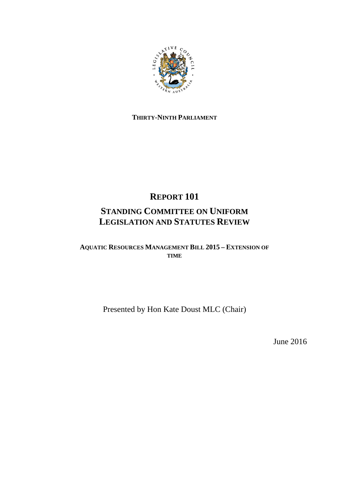

# **THIRTY-NINTH PARLIAMENT**

# **REPORT 101 STANDING COMMITTEE ON UNIFORM LEGISLATION AND STATUTES REVIEW**

**AQUATIC RESOURCES MANAGEMENT BILL 2015 – EXTENSION OF TIME**

Presented by Hon Kate Doust MLC (Chair)

June 2016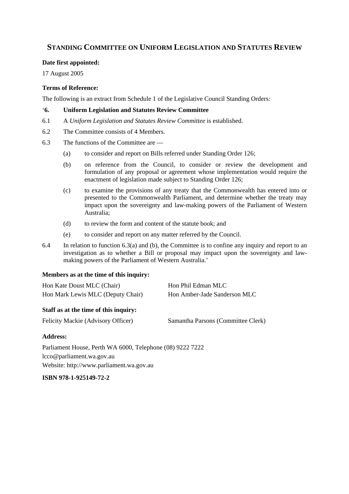# **STANDING COMMITTEE ON UNIFORM LEGISLATION AND STATUTES REVIEW**

## **Date first appointed:**

17 August 2005

## **Terms of Reference:**

The following is an extract from Schedule 1 of the Legislative Council Standing Orders:

## '**6. Uniform Legislation and Statutes Review Committee**

- 6.1 A *Uniform Legislation and Statutes Review Committee* is established.
- 6.2 The Committee consists of 4 Members.
- 6.3 The functions of the Committee are
	- (a) to consider and report on Bills referred under Standing Order 126;
	- (b) on reference from the Council, to consider or review the development and formulation of any proposal or agreement whose implementation would require the enactment of legislation made subject to Standing Order 126;
	- (c) to examine the provisions of any treaty that the Commonwealth has entered into or presented to the Commonwealth Parliament, and determine whether the treaty may impact upon the sovereignty and law-making powers of the Parliament of Western Australia;
	- (d) to review the form and content of the statute book; and
	- (e) to consider and report on any matter referred by the Council.
- 6.4 In relation to function 6.3(a) and (b), the Committee is to confine any inquiry and report to an investigation as to whether a Bill or proposal may impact upon the sovereignty and lawmaking powers of the Parliament of Western Australia.'

#### **Members as at the time of this inquiry:**

| Hon Kate Doust MLC (Chair)        | Hon Phil Edman MLC           |
|-----------------------------------|------------------------------|
| Hon Mark Lewis MLC (Deputy Chair) | Hon Amber-Jade Sanderson MLC |

#### **Staff as at the time of this inquiry:**

|  |  | Felicity Mackie (Advisory Officer) |  |
|--|--|------------------------------------|--|
|--|--|------------------------------------|--|

Samantha Parsons (Committee Clerk)

#### **Address:**

Parliament House, Perth WA 6000, Telephone (08) 9222 7222 lcco@parliament.wa.gov.au Website: http://www.parliament.wa.gov.au

**ISBN 978-1-925149-72-2**